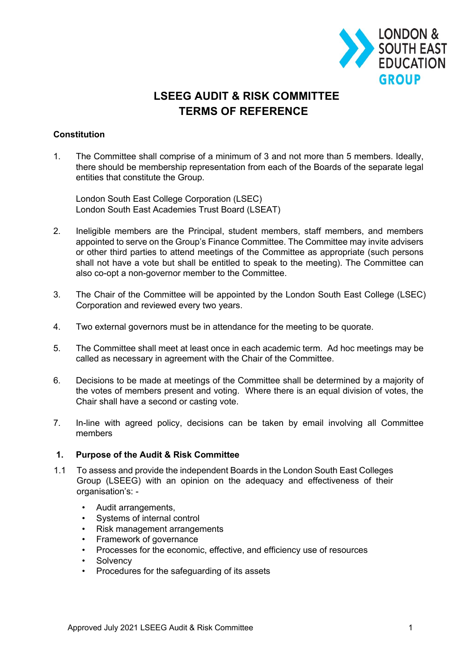

# **LSEEG AUDIT & RISK COMMITTEE TERMS OF REFERENCE**

## **Constitution**

1. The Committee shall comprise of a minimum of 3 and not more than 5 members. Ideally, there should be membership representation from each of the Boards of the separate legal entities that constitute the Group.

London South East College Corporation (LSEC) London South East Academies Trust Board (LSEAT)

- 2. Ineligible members are the Principal, student members, staff members, and members appointed to serve on the Group's Finance Committee. The Committee may invite advisers or other third parties to attend meetings of the Committee as appropriate (such persons shall not have a vote but shall be entitled to speak to the meeting). The Committee can also co-opt a non-governor member to the Committee.
- 3. The Chair of the Committee will be appointed by the London South East College (LSEC) Corporation and reviewed every two years.
- 4. Two external governors must be in attendance for the meeting to be quorate.
- 5. The Committee shall meet at least once in each academic term. Ad hoc meetings may be called as necessary in agreement with the Chair of the Committee.
- 6. Decisions to be made at meetings of the Committee shall be determined by a majority of the votes of members present and voting. Where there is an equal division of votes, the Chair shall have a second or casting vote.
- 7. In-line with agreed policy, decisions can be taken by email involving all Committee members

## **1. Purpose of the Audit & Risk Committee**

- 1.1 To assess and provide the independent Boards in the London South East Colleges Group (LSEEG) with an opinion on the adequacy and effectiveness of their organisation's: -
	- Audit arrangements,
	- Systems of internal control
	- Risk management arrangements
	- Framework of governance
	- Processes for the economic, effective, and efficiency use of resources
	- Solvency
	- Procedures for the safeguarding of its assets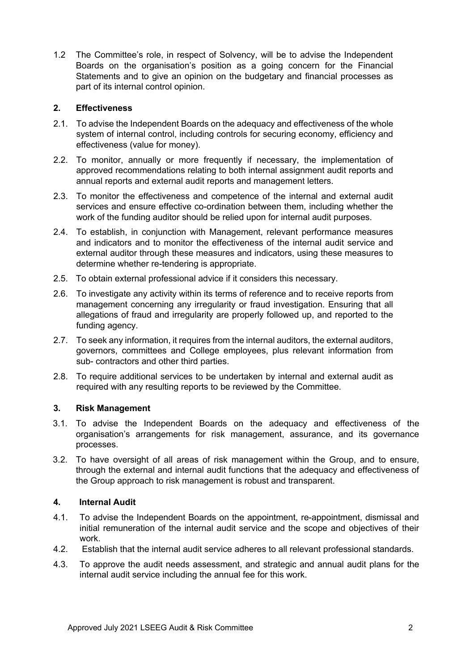1.2 The Committee's role, in respect of Solvency, will be to advise the Independent Boards on the organisation's position as a going concern for the Financial Statements and to give an opinion on the budgetary and financial processes as part of its internal control opinion.

## **2. Effectiveness**

- 2.1. To advise the Independent Boards on the adequacy and effectiveness of the whole system of internal control, including controls for securing economy, efficiency and effectiveness (value for money).
- 2.2. To monitor, annually or more frequently if necessary, the implementation of approved recommendations relating to both internal assignment audit reports and annual reports and external audit reports and management letters.
- 2.3. To monitor the effectiveness and competence of the internal and external audit services and ensure effective co-ordination between them, including whether the work of the funding auditor should be relied upon for internal audit purposes.
- 2.4. To establish, in conjunction with Management, relevant performance measures and indicators and to monitor the effectiveness of the internal audit service and external auditor through these measures and indicators, using these measures to determine whether re-tendering is appropriate.
- 2.5. To obtain external professional advice if it considers this necessary.
- 2.6. To investigate any activity within its terms of reference and to receive reports from management concerning any irregularity or fraud investigation. Ensuring that all allegations of fraud and irregularity are properly followed up, and reported to the funding agency.
- 2.7. To seek any information, it requires from the internal auditors, the external auditors, governors, committees and College employees, plus relevant information from sub- contractors and other third parties.
- 2.8. To require additional services to be undertaken by internal and external audit as required with any resulting reports to be reviewed by the Committee.

#### **3. Risk Management**

- 3.1. To advise the Independent Boards on the adequacy and effectiveness of the organisation's arrangements for risk management, assurance, and its governance processes.
- 3.2. To have oversight of all areas of risk management within the Group, and to ensure, through the external and internal audit functions that the adequacy and effectiveness of the Group approach to risk management is robust and transparent.

## **4. Internal Audit**

- 4.1. To advise the Independent Boards on the appointment, re-appointment, dismissal and initial remuneration of the internal audit service and the scope and objectives of their work.
- 4.2. Establish that the internal audit service adheres to all relevant professional standards.
- 4.3. To approve the audit needs assessment, and strategic and annual audit plans for the internal audit service including the annual fee for this work.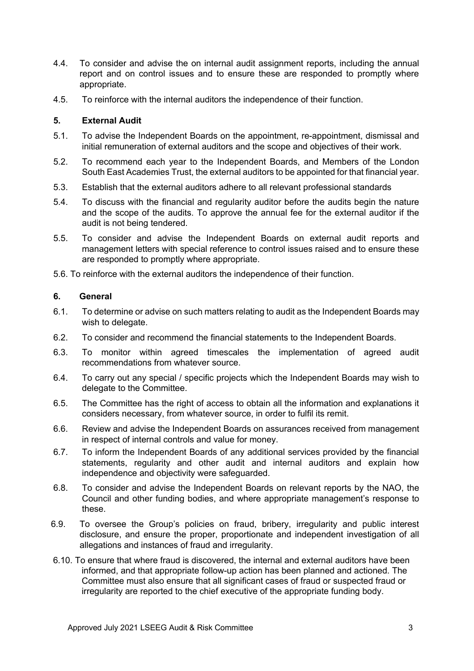- 4.4. To consider and advise the on internal audit assignment reports, including the annual report and on control issues and to ensure these are responded to promptly where appropriate.
- 4.5. To reinforce with the internal auditors the independence of their function.

## **5. External Audit**

- 5.1. To advise the Independent Boards on the appointment, re-appointment, dismissal and initial remuneration of external auditors and the scope and objectives of their work.
- 5.2. To recommend each year to the Independent Boards, and Members of the London South East Academies Trust, the external auditors to be appointed for that financial year.
- 5.3. Establish that the external auditors adhere to all relevant professional standards
- 5.4. To discuss with the financial and regularity auditor before the audits begin the nature and the scope of the audits. To approve the annual fee for the external auditor if the audit is not being tendered.
- 5.5. To consider and advise the Independent Boards on external audit reports and management letters with special reference to control issues raised and to ensure these are responded to promptly where appropriate.
- 5.6. To reinforce with the external auditors the independence of their function.

## **6. General**

- 6.1. To determine or advise on such matters relating to audit as the Independent Boards may wish to delegate.
- 6.2. To consider and recommend the financial statements to the Independent Boards.
- 6.3. To monitor within agreed timescales the implementation of agreed audit recommendations from whatever source.
- 6.4. To carry out any special / specific projects which the Independent Boards may wish to delegate to the Committee.
- 6.5. The Committee has the right of access to obtain all the information and explanations it considers necessary, from whatever source, in order to fulfil its remit.
- 6.6. Review and advise the Independent Boards on assurances received from management in respect of internal controls and value for money.
- 6.7. To inform the Independent Boards of any additional services provided by the financial statements, regularity and other audit and internal auditors and explain how independence and objectivity were safeguarded.
- 6.8. To consider and advise the Independent Boards on relevant reports by the NAO, the Council and other funding bodies, and where appropriate management's response to these.
- 6.9. To oversee the Group's policies on fraud, bribery, irregularity and public interest disclosure, and ensure the proper, proportionate and independent investigation of all allegations and instances of fraud and irregularity.
- 6.10. To ensure that where fraud is discovered, the internal and external auditors have been informed, and that appropriate follow-up action has been planned and actioned. The Committee must also ensure that all significant cases of fraud or suspected fraud or irregularity are reported to the chief executive of the appropriate funding body.